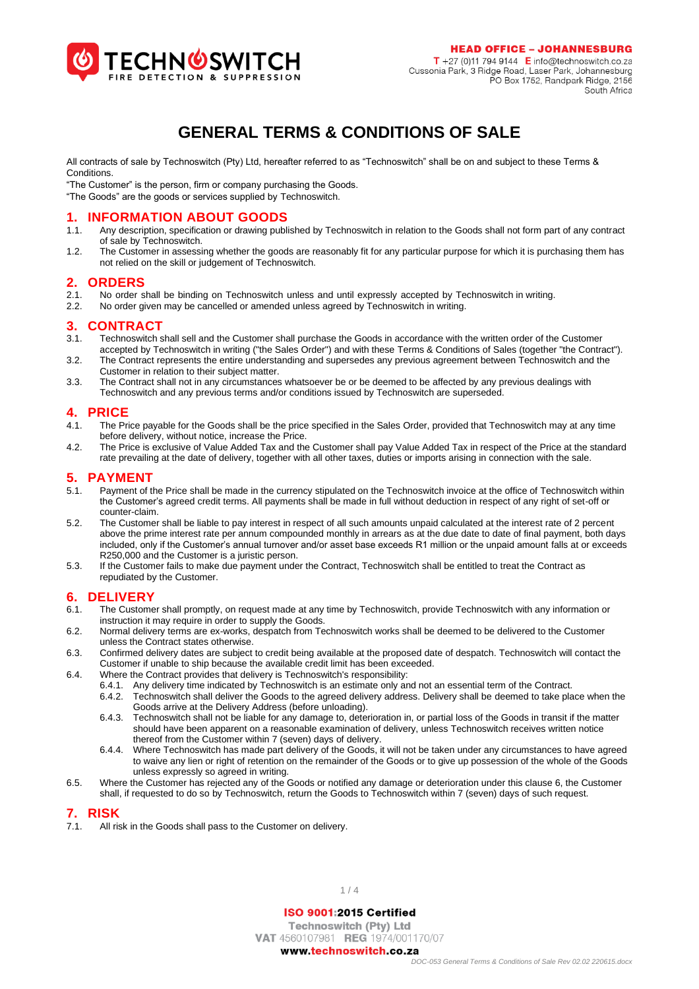

### **GENERAL TERMS & CONDITIONS OF SALE**

All contracts of sale by Technoswitch (Pty) Ltd, hereafter referred to as "Technoswitch" shall be on and subject to these Terms & Conditions.

"The Customer" is the person, firm or company purchasing the Goods.

"The Goods" are the goods or services supplied by Technoswitch.

### **1. INFORMATION ABOUT GOODS**

- 1.1. Any description, specification or drawing published by Technoswitch in relation to the Goods shall not form part of any contract of sale by Technoswitch.
- 1.2. The Customer in assessing whether the goods are reasonably fit for any particular purpose for which it is purchasing them has not relied on the skill or judgement of Technoswitch.

### **2. ORDERS**

- 2.1. No order shall be binding on Technoswitch unless and until expressly accepted by Technoswitch in writing.<br>2.2. No order given may be cancelled or amended unless agreed by Technoswitch in writing
- 2.2. No order given may be cancelled or amended unless agreed by Technoswitch in writing.

### **3. CONTRACT**

- 3.1. Technoswitch shall sell and the Customer shall purchase the Goods in accordance with the written order of the Customer accepted by Technoswitch in writing ("the Sales Order") and with these Terms & Conditions of Sales (together "the Contract").
- 3.2. The Contract represents the entire understanding and supersedes any previous agreement between Technoswitch and the Customer in relation to their subject matter.
- 3.3. The Contract shall not in any circumstances whatsoever be or be deemed to be affected by any previous dealings with Technoswitch and any previous terms and/or conditions issued by Technoswitch are superseded.

# **4. PRICE**

- The Price payable for the Goods shall be the price specified in the Sales Order, provided that Technoswitch may at any time before delivery, without notice, increase the Price.
- 4.2. The Price is exclusive of Value Added Tax and the Customer shall pay Value Added Tax in respect of the Price at the standard rate prevailing at the date of delivery, together with all other taxes, duties or imports arising in connection with the sale.

### **5. PAYMENT**

- 5.1. Payment of the Price shall be made in the currency stipulated on the Technoswitch invoice at the office of Technoswitch within the Customer's agreed credit terms. All payments shall be made in full without deduction in respect of any right of set-off or counter-claim.
- 5.2. The Customer shall be liable to pay interest in respect of all such amounts unpaid calculated at the interest rate of 2 percent above the prime interest rate per annum compounded monthly in arrears as at the due date to date of final payment, both days included, only if the Customer's annual turnover and/or asset base exceeds R1 million or the unpaid amount falls at or exceeds R250,000 and the Customer is a juristic person.
- 5.3. If the Customer fails to make due payment under the Contract, Technoswitch shall be entitled to treat the Contract as repudiated by the Customer.

# <span id="page-0-0"></span>**6. DELIVERY**

- The Customer shall promptly, on request made at any time by Technoswitch, provide Technoswitch with any information or instruction it may require in order to supply the Goods.
- 6.2. Normal delivery terms are ex-works, despatch from Technoswitch works shall be deemed to be delivered to the Customer unless the Contract states otherwise.
- 6.3. Confirmed delivery dates are subject to credit being available at the proposed date of despatch. Technoswitch will contact the Customer if unable to ship because the available credit limit has been exceeded.
- 6.4. Where the Contract provides that delivery is Technoswitch's responsibility:
	- 6.4.1. Any delivery time indicated by Technoswitch is an estimate only and not an essential term of the Contract.
	- 6.4.2. Technoswitch shall deliver the Goods to the agreed delivery address. Delivery shall be deemed to take place when the Goods arrive at the Delivery Address (before unloading).
	- 6.4.3. Technoswitch shall not be liable for any damage to, deterioration in, or partial loss of the Goods in transit if the matter should have been apparent on a reasonable examination of delivery, unless Technoswitch receives written notice thereof from the Customer within 7 (seven) days of delivery.
	- 6.4.4. Where Technoswitch has made part delivery of the Goods, it will not be taken under any circumstances to have agreed to waive any lien or right of retention on the remainder of the Goods or to give up possession of the whole of the Goods unless expressly so agreed in writing.
- 6.5. Where the Customer has rejected any of the Goods or notified any damage or deterioration under this clause [6,](#page-0-0) the Customer shall, if requested to do so by Technoswitch, return the Goods to Technoswitch within 7 (seven) days of such request.

#### **7. RISK**

7.1. All risk in the Goods shall pass to the Customer on delivery.

 $1/4$ 

### ISO 9001:2015 Certified

**Technoswitch (Pty) Ltd** VAT 4560107981 REG 1974/001170/07 www.technoswitch.co.za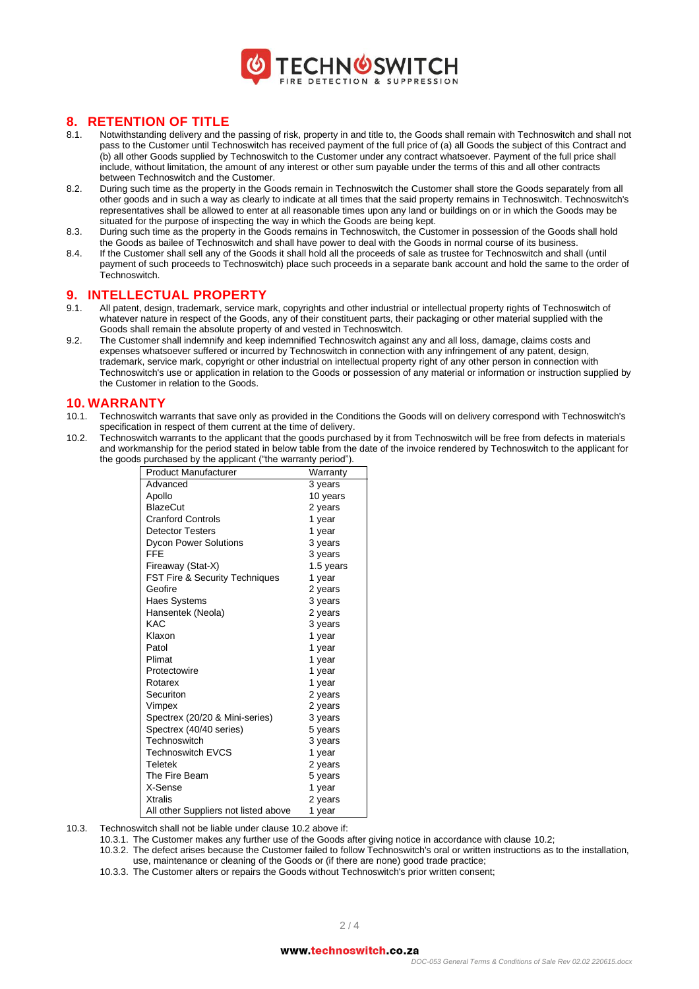

# **8. RETENTION OF TITLE** 8.1. Notwithstanding delivery and the

- Notwithstanding delivery and the passing of risk, property in and title to, the Goods shall remain with Technoswitch and shall not pass to the Customer until Technoswitch has received payment of the full price of (a) all Goods the subject of this Contract and (b) all other Goods supplied by Technoswitch to the Customer under any contract whatsoever. Payment of the full price shall include, without limitation, the amount of any interest or other sum payable under the terms of this and all other contracts between Technoswitch and the Customer.
- 8.2. During such time as the property in the Goods remain in Technoswitch the Customer shall store the Goods separately from all other goods and in such a way as clearly to indicate at all times that the said property remains in Technoswitch. Technoswitch's representatives shall be allowed to enter at all reasonable times upon any land or buildings on or in which the Goods may be situated for the purpose of inspecting the way in which the Goods are being kept.
- 8.3. During such time as the property in the Goods remains in Technoswitch, the Customer in possession of the Goods shall hold the Goods as bailee of Technoswitch and shall have power to deal with the Goods in normal course of its business.
- 8.4. If the Customer shall sell any of the Goods it shall hold all the proceeds of sale as trustee for Technoswitch and shall (until payment of such proceeds to Technoswitch) place such proceeds in a separate bank account and hold the same to the order of .<br>Technoswitch

### **9. INTELLECTUAL PROPERTY**<br>9.1 All patent design trademark service ma

- All patent, design, trademark, service mark, copyrights and other industrial or intellectual property rights of Technoswitch of whatever nature in respect of the Goods, any of their constituent parts, their packaging or other material supplied with the Goods shall remain the absolute property of and vested in Technoswitch.
- 9.2. The Customer shall indemnify and keep indemnified Technoswitch against any and all loss, damage, claims costs and expenses whatsoever suffered or incurred by Technoswitch in connection with any infringement of any patent, design, trademark, service mark, copyright or other industrial on intellectual property right of any other person in connection with Technoswitch's use or application in relation to the Goods or possession of any material or information or instruction supplied by the Customer in relation to the Goods.

#### **10. WARRANTY**

- 10.1. Technoswitch warrants that save only as provided in the Conditions the Goods will on delivery correspond with Technoswitch's specification in respect of them current at the time of delivery.
- <span id="page-1-0"></span>10.2. Technoswitch warrants to the applicant that the goods purchased by it from Technoswitch will be free from defects in materials and workmanship for the period stated in below table from the date of the invoice rendered by Technoswitch to the applicant for the goods purchased by the applicant ("the warranty period").

| <b>Product Manufacturer</b>               | Warranty  |
|-------------------------------------------|-----------|
| Advanced                                  | 3 years   |
| Apollo                                    | 10 years  |
| <b>BlazeCut</b>                           | 2 years   |
| <b>Cranford Controls</b>                  | 1 year    |
| <b>Detector Testers</b>                   | 1 year    |
| <b>Dycon Power Solutions</b>              | 3 years   |
| FFF                                       | 3 years   |
| Fireaway (Stat-X)                         | 1.5 years |
| <b>FST Fire &amp; Security Techniques</b> | 1 year    |
| Geofire                                   | 2 years   |
| Haes Systems                              | 3 years   |
| Hansentek (Neola)                         | 2 years   |
| KAC                                       | 3 years   |
| Klaxon                                    | 1 year    |
| Patol                                     | 1 year    |
| Plimat                                    | 1 year    |
| Protectowire                              | 1 year    |
| Rotarex                                   | 1 year    |
| Securiton                                 | 2 years   |
| Vimpex                                    | 2 years   |
| Spectrex (20/20 & Mini-series)            | 3 years   |
| Spectrex (40/40 series)                   | 5 years   |
| Technoswitch                              | 3 years   |
| <b>Technoswitch EVCS</b>                  | 1 year    |
| Teletek                                   | 2 years   |
| The Fire Beam                             | 5 years   |
| X-Sense                                   | 1 year    |
| <b>Xtralis</b>                            | 2 years   |
| All other Suppliers not listed above      | 1 year    |

10.3. Technoswitch shall not be liable under claus[e 10.2 above](#page-1-0) if:

10.3.1. The Customer makes any further use of the Goods after giving notice in accordance with claus[e 10.2;](#page-1-0)

- 10.3.2. The defect arises because the Customer failed to follow Technoswitch's oral or written instructions as to the installation, use, maintenance or cleaning of the Goods or (if there are none) good trade practice;
- 10.3.3. The Customer alters or repairs the Goods without Technoswitch's prior written consent;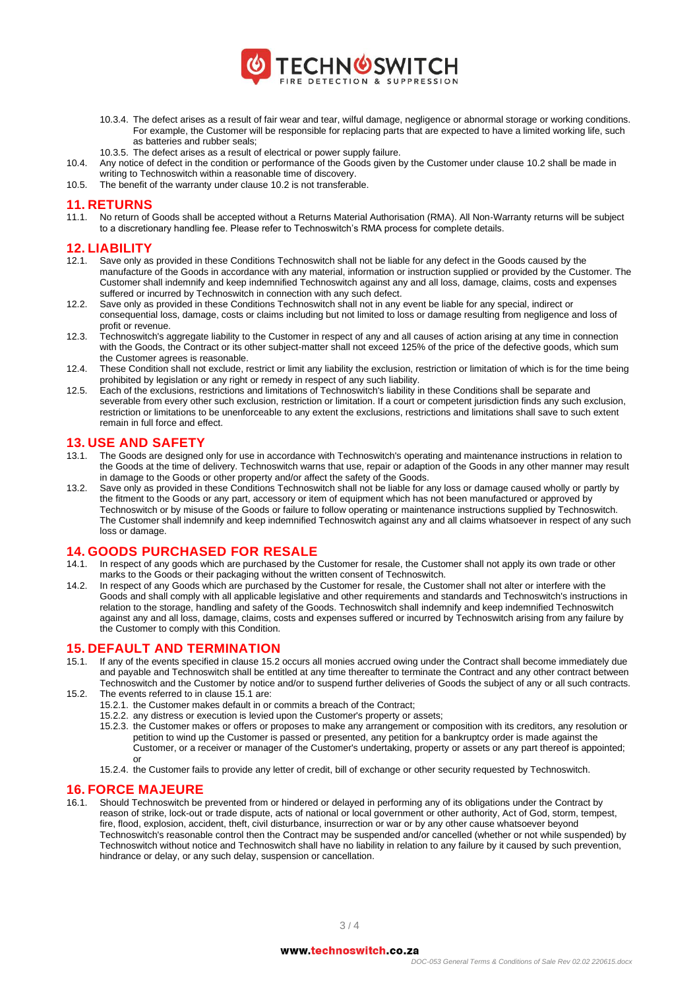

- 10.3.4. The defect arises as a result of fair wear and tear, wilful damage, negligence or abnormal storage or working conditions. For example, the Customer will be responsible for replacing parts that are expected to have a limited working life, such as batteries and rubber seals;
- 10.3.5. The defect arises as a result of electrical or power supply failure.
- 10.4. Any notice of defect in the condition or performance of the Goods given by the Customer under claus[e 10.2](#page-1-0) shall be made in writing to Technoswitch within a reasonable time of discovery.
- 10.5. The benefit of the warranty under claus[e 10.2](#page-1-0) is not transferable.

#### **11. RETURNS**

11.1. No return of Goods shall be accepted without a Returns Material Authorisation (RMA). All Non-Warranty returns will be subject to a discretionary handling fee. Please refer to Technoswitch's RMA process for complete details.

#### **12. LIABILITY**

- 12.1. Save only as provided in these Conditions Technoswitch shall not be liable for any defect in the Goods caused by the manufacture of the Goods in accordance with any material, information or instruction supplied or provided by the Customer. The Customer shall indemnify and keep indemnified Technoswitch against any and all loss, damage, claims, costs and expenses suffered or incurred by Technoswitch in connection with any such defect.
- 12.2. Save only as provided in these Conditions Technoswitch shall not in any event be liable for any special, indirect or consequential loss, damage, costs or claims including but not limited to loss or damage resulting from negligence and loss of profit or revenue.
- 12.3. Technoswitch's aggregate liability to the Customer in respect of any and all causes of action arising at any time in connection with the Goods, the Contract or its other subject-matter shall not exceed 125% of the price of the defective goods, which sum the Customer agrees is reasonable.
- 12.4. These Condition shall not exclude, restrict or limit any liability the exclusion, restriction or limitation of which is for the time being prohibited by legislation or any right or remedy in respect of any such liability.
- 12.5. Each of the exclusions, restrictions and limitations of Technoswitch's liability in these Conditions shall be separate and severable from every other such exclusion, restriction or limitation. If a court or competent jurisdiction finds any such exclusion, restriction or limitations to be unenforceable to any extent the exclusions, restrictions and limitations shall save to such extent remain in full force and effect.

#### **13. USE AND SAFETY**

- 13.1. The Goods are designed only for use in accordance with Technoswitch's operating and maintenance instructions in relation to the Goods at the time of delivery. Technoswitch warns that use, repair or adaption of the Goods in any other manner may result in damage to the Goods or other property and/or affect the safety of the Goods.
- 13.2. Save only as provided in these Conditions Technoswitch shall not be liable for any loss or damage caused wholly or partly by the fitment to the Goods or any part, accessory or item of equipment which has not been manufactured or approved by Technoswitch or by misuse of the Goods or failure to follow operating or maintenance instructions supplied by Technoswitch. The Customer shall indemnify and keep indemnified Technoswitch against any and all claims whatsoever in respect of any such loss or damage.

### **14. GOODS PURCHASED FOR RESALE**

- 14.1. In respect of any goods which are purchased by the Customer for resale, the Customer shall not apply its own trade or other marks to the Goods or their packaging without the written consent of Technoswitch.
- 14.2. In respect of any Goods which are purchased by the Customer for resale, the Customer shall not alter or interfere with the Goods and shall comply with all applicable legislative and other requirements and standards and Technoswitch's instructions in relation to the storage, handling and safety of the Goods. Technoswitch shall indemnify and keep indemnified Technoswitch against any and all loss, damage, claims, costs and expenses suffered or incurred by Technoswitch arising from any failure by the Customer to comply with this Condition.

# **15. DEFAULT AND TERMINATION**

- <span id="page-2-1"></span>15.1. If any of the events specified in clause [15.2](#page-2-0) occurs all monies accrued owing under the Contract shall become immediately due and payable and Technoswitch shall be entitled at any time thereafter to terminate the Contract and any other contract between Technoswitch and the Customer by notice and/or to suspend further deliveries of Goods the subject of any or all such contracts.
- <span id="page-2-0"></span>15.2. The events referred to in clause [15.1](#page-2-1) are:
	- 15.2.1. the Customer makes default in or commits a breach of the Contract;
	- 15.2.2. any distress or execution is levied upon the Customer's property or assets;
	- 15.2.3. the Customer makes or offers or proposes to make any arrangement or composition with its creditors, any resolution or petition to wind up the Customer is passed or presented, any petition for a bankruptcy order is made against the Customer, or a receiver or manager of the Customer's undertaking, property or assets or any part thereof is appointed; or
	- 15.2.4. the Customer fails to provide any letter of credit, bill of exchange or other security requested by Technoswitch.

#### **16. FORCE MAJEURE**

16.1. Should Technoswitch be prevented from or hindered or delayed in performing any of its obligations under the Contract by reason of strike, lock-out or trade dispute, acts of national or local government or other authority, Act of God, storm, tempest, fire, flood, explosion, accident, theft, civil disturbance, insurrection or war or by any other cause whatsoever beyond Technoswitch's reasonable control then the Contract may be suspended and/or cancelled (whether or not while suspended) by Technoswitch without notice and Technoswitch shall have no liability in relation to any failure by it caused by such prevention, hindrance or delay, or any such delay, suspension or cancellation.